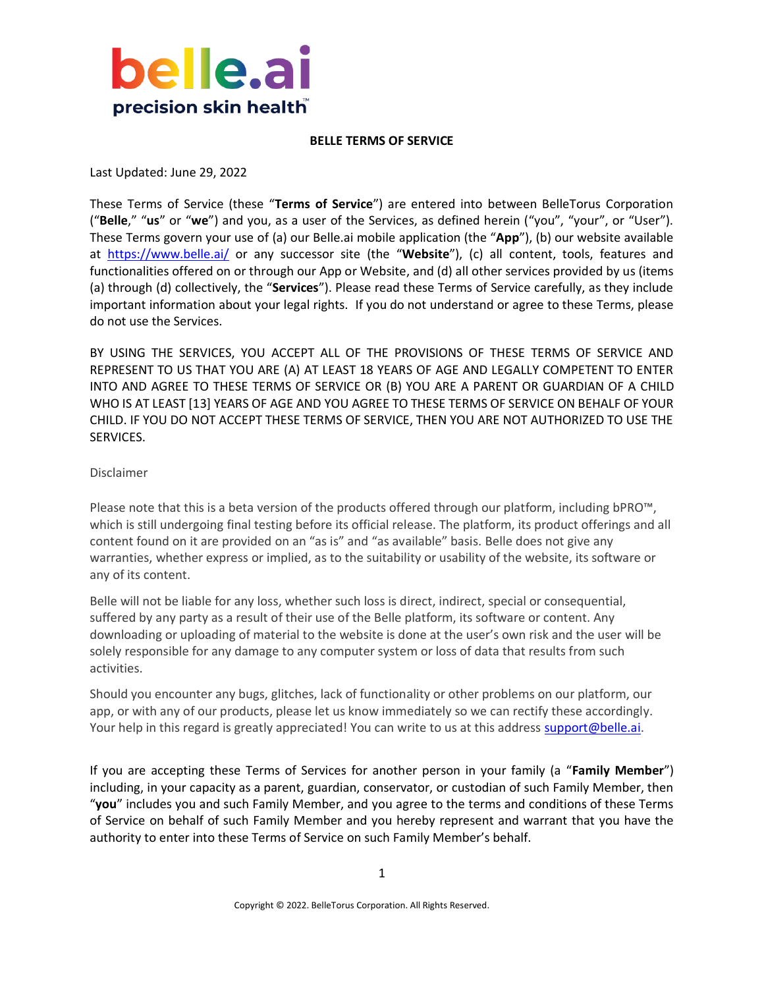

#### **BELLE TERMS OF SERVICE**

Last Updated: June 29, 2022

These Terms of Service (these "**Terms of Service**") are entered into between BelleTorus Corporation ("**Belle**," "**us**" or "**we**") and you, as a user of the Services, as defined herein ("you", "your", or "User"). These Terms govern your use of (a) our Belle.ai mobile application (the "**App**"), (b) our website available at <https://www.belle.ai/> or any successor site (the "**Website**"), (c) all content, tools, features and functionalities offered on or through our App or Website, and (d) all other services provided by us (items (a) through (d) collectively, the "**Services**"). Please read these Terms of Service carefully, as they include important information about your legal rights. If you do not understand or agree to these Terms, please do not use the Services.

BY USING THE SERVICES, YOU ACCEPT ALL OF THE PROVISIONS OF THESE TERMS OF SERVICE AND REPRESENT TO US THAT YOU ARE (A) AT LEAST 18 YEARS OF AGE AND LEGALLY COMPETENT TO ENTER INTO AND AGREE TO THESE TERMS OF SERVICE OR (B) YOU ARE A PARENT OR GUARDIAN OF A CHILD WHO IS AT LEAST [13] YEARS OF AGE AND YOU AGREE TO THESE TERMS OF SERVICE ON BEHALF OF YOUR CHILD. IF YOU DO NOT ACCEPT THESE TERMS OF SERVICE, THEN YOU ARE NOT AUTHORIZED TO USE THE SERVICES.

#### Disclaimer

Please note that this is a beta version of the products offered through our platform, including bPRO™, which is still undergoing final testing before its official release. The platform, its product offerings and all content found on it are provided on an "as is" and "as available" basis. Belle does not give any warranties, whether express or implied, as to the suitability or usability of the website, its software or any of its content.

Belle will not be liable for any loss, whether such loss is direct, indirect, special or consequential, suffered by any party as a result of their use of the Belle platform, its software or content. Any downloading or uploading of material to the website is done at the user's own risk and the user will be solely responsible for any damage to any computer system or loss of data that results from such activities.

Should you encounter any bugs, glitches, lack of functionality or other problems on our platform, our app, or with any of our products, please let us know immediately so we can rectify these accordingly. Your help in this regard is greatly appreciated! You can write to us at this address [support@belle.ai.](mailto:support@belle.ai)

If you are accepting these Terms of Services for another person in your family (a "**Family Member**") including, in your capacity as a parent, guardian, conservator, or custodian of such Family Member, then "**you**" includes you and such Family Member, and you agree to the terms and conditions of these Terms of Service on behalf of such Family Member and you hereby represent and warrant that you have the authority to enter into these Terms of Service on such Family Member's behalf.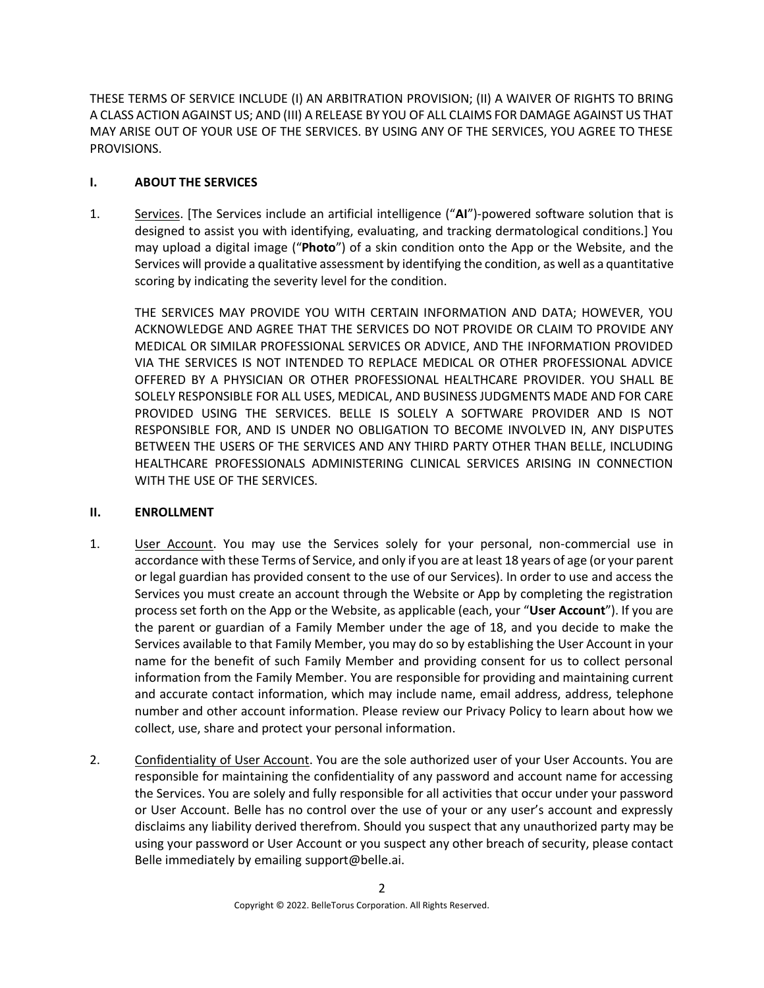THESE TERMS OF SERVICE INCLUDE (I) AN ARBITRATION PROVISION; (II) A WAIVER OF RIGHTS TO BRING A CLASS ACTION AGAINST US; AND (III) A RELEASE BY YOU OF ALL CLAIMS FOR DAMAGE AGAINST US THAT MAY ARISE OUT OF YOUR USE OF THE SERVICES. BY USING ANY OF THE SERVICES, YOU AGREE TO THESE PROVISIONS.

# **I. ABOUT THE SERVICES**

1. Services. [The Services include an artificial intelligence ("**AI**")-powered software solution that is designed to assist you with identifying, evaluating, and tracking dermatological conditions.] You may upload a digital image ("**Photo**") of a skin condition onto the App or the Website, and the Services will provide a qualitative assessment by identifying the condition, as well as a quantitative scoring by indicating the severity level for the condition.

THE SERVICES MAY PROVIDE YOU WITH CERTAIN INFORMATION AND DATA; HOWEVER, YOU ACKNOWLEDGE AND AGREE THAT THE SERVICES DO NOT PROVIDE OR CLAIM TO PROVIDE ANY MEDICAL OR SIMILAR PROFESSIONAL SERVICES OR ADVICE, AND THE INFORMATION PROVIDED VIA THE SERVICES IS NOT INTENDED TO REPLACE MEDICAL OR OTHER PROFESSIONAL ADVICE OFFERED BY A PHYSICIAN OR OTHER PROFESSIONAL HEALTHCARE PROVIDER. YOU SHALL BE SOLELY RESPONSIBLE FOR ALL USES, MEDICAL, AND BUSINESS JUDGMENTS MADE AND FOR CARE PROVIDED USING THE SERVICES. BELLE IS SOLELY A SOFTWARE PROVIDER AND IS NOT RESPONSIBLE FOR, AND IS UNDER NO OBLIGATION TO BECOME INVOLVED IN, ANY DISPUTES BETWEEN THE USERS OF THE SERVICES AND ANY THIRD PARTY OTHER THAN BELLE, INCLUDING HEALTHCARE PROFESSIONALS ADMINISTERING CLINICAL SERVICES ARISING IN CONNECTION WITH THE USE OF THE SERVICES.

# **II. ENROLLMENT**

- 1. User Account. You may use the Services solely for your personal, non-commercial use in accordance with these Terms of Service, and only if you are at least 18 years of age (or your parent or legal guardian has provided consent to the use of our Services). In order to use and access the Services you must create an account through the Website or App by completing the registration process set forth on the App or the Website, as applicable (each, your "**User Account**"). If you are the parent or guardian of a Family Member under the age of 18, and you decide to make the Services available to that Family Member, you may do so by establishing the User Account in your name for the benefit of such Family Member and providing consent for us to collect personal information from the Family Member. You are responsible for providing and maintaining current and accurate contact information, which may include name, email address, address, telephone number and other account information. Please review our Privacy Policy to learn about how we collect, use, share and protect your personal information.
- 2. Confidentiality of User Account. You are the sole authorized user of your User Accounts. You are responsible for maintaining the confidentiality of any password and account name for accessing the Services. You are solely and fully responsible for all activities that occur under your password or User Account. Belle has no control over the use of your or any user's account and expressly disclaims any liability derived therefrom. Should you suspect that any unauthorized party may be using your password or User Account or you suspect any other breach of security, please contact Belle immediately by emailing support@belle.ai.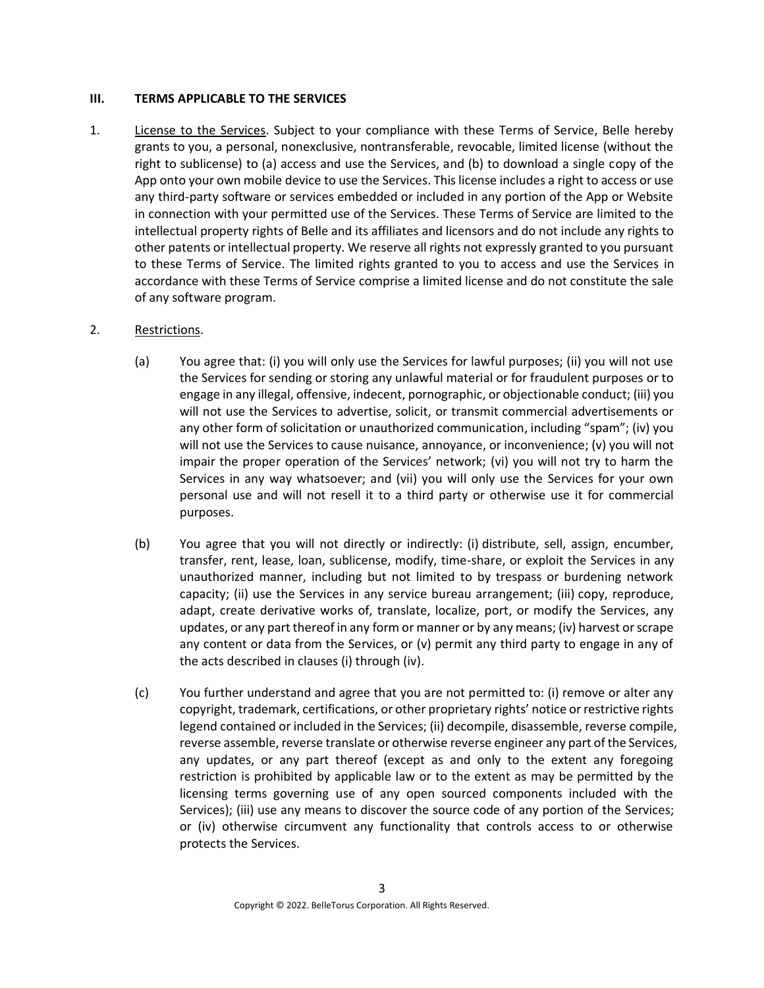#### <span id="page-2-0"></span>**III. TERMS APPLICABLE TO THE SERVICES**

1. License to the Services. Subject to your compliance with these Terms of Service, Belle hereby grants to you, a personal, nonexclusive, nontransferable, revocable, limited license (without the right to sublicense) to (a) access and use the Services, and (b) to download a single copy of the App onto your own mobile device to use the Services. This license includes a right to access or use any third-party software or services embedded or included in any portion of the App or Website in connection with your permitted use of the Services. These Terms of Service are limited to the intellectual property rights of Belle and its affiliates and licensors and do not include any rights to other patents or intellectual property. We reserve all rights not expressly granted to you pursuant to these Terms of Service. The limited rights granted to you to access and use the Services in accordance with these Terms of Service comprise a limited license and do not constitute the sale of any software program.

# 2. Restrictions.

- (a) You agree that: (i) you will only use the Services for lawful purposes; (ii) you will not use the Services for sending or storing any unlawful material or for fraudulent purposes or to engage in any illegal, offensive, indecent, pornographic, or objectionable conduct; (iii) you will not use the Services to advertise, solicit, or transmit commercial advertisements or any other form of solicitation or unauthorized communication, including "spam"; (iv) you will not use the Services to cause nuisance, annoyance, or inconvenience; (v) you will not impair the proper operation of the Services' network; (vi) you will not try to harm the Services in any way whatsoever; and (vii) you will only use the Services for your own personal use and will not resell it to a third party or otherwise use it for commercial purposes.
- (b) You agree that you will not directly or indirectly: (i) distribute, sell, assign, encumber, transfer, rent, lease, loan, sublicense, modify, time-share, or exploit the Services in any unauthorized manner, including but not limited to by trespass or burdening network capacity; (ii) use the Services in any service bureau arrangement; (iii) copy, reproduce, adapt, create derivative works of, translate, localize, port, or modify the Services, any updates, or any part thereof in any form or manner or by any means; (iv) harvest or scrape any content or data from the Services, or (v) permit any third party to engage in any of the acts described in clauses (i) through (iv).
- (c) You further understand and agree that you are not permitted to: (i) remove or alter any copyright, trademark, certifications, or other proprietary rights' notice or restrictive rights legend contained or included in the Services; (ii) decompile, disassemble, reverse compile, reverse assemble, reverse translate or otherwise reverse engineer any part of the Services, any updates, or any part thereof (except as and only to the extent any foregoing restriction is prohibited by applicable law or to the extent as may be permitted by the licensing terms governing use of any open sourced components included with the Services); (iii) use any means to discover the source code of any portion of the Services; or (iv) otherwise circumvent any functionality that controls access to or otherwise protects the Services.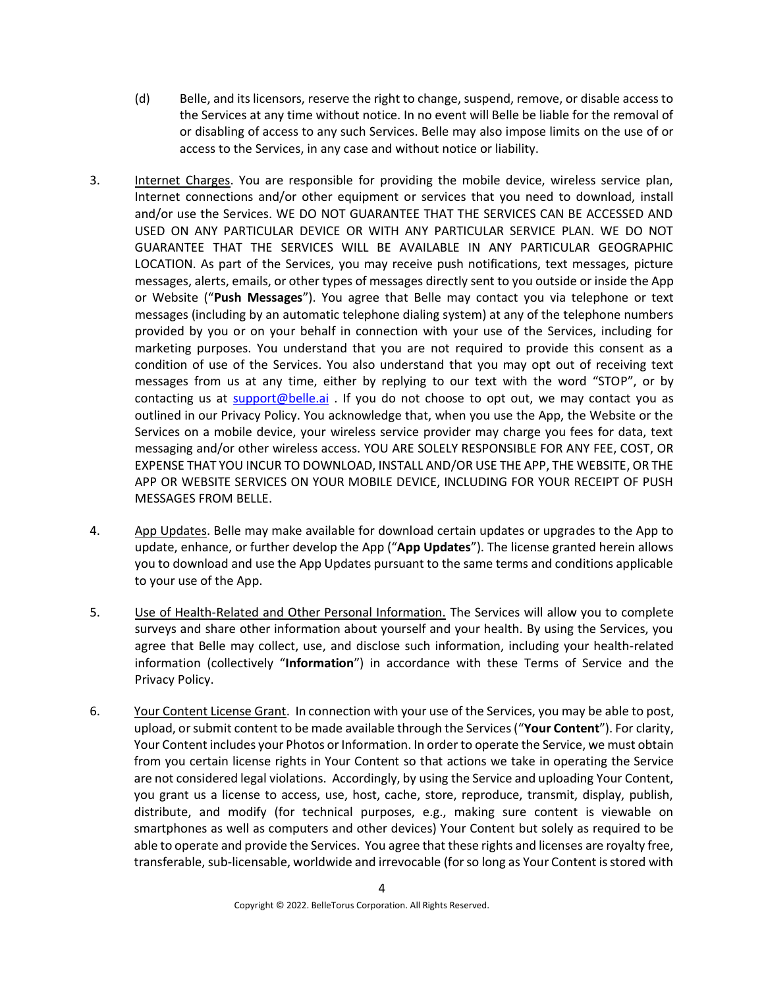- (d) Belle, and its licensors, reserve the right to change, suspend, remove, or disable access to the Services at any time without notice. In no event will Belle be liable for the removal of or disabling of access to any such Services. Belle may also impose limits on the use of or access to the Services, in any case and without notice or liability.
- 3. Internet Charges. You are responsible for providing the mobile device, wireless service plan, Internet connections and/or other equipment or services that you need to download, install and/or use the Services. WE DO NOT GUARANTEE THAT THE SERVICES CAN BE ACCESSED AND USED ON ANY PARTICULAR DEVICE OR WITH ANY PARTICULAR SERVICE PLAN. WE DO NOT GUARANTEE THAT THE SERVICES WILL BE AVAILABLE IN ANY PARTICULAR GEOGRAPHIC LOCATION. As part of the Services, you may receive push notifications, text messages, picture messages, alerts, emails, or other types of messages directly sent to you outside or inside the App or Website ("**Push Messages**"). You agree that Belle may contact you via telephone or text messages (including by an automatic telephone dialing system) at any of the telephone numbers provided by you or on your behalf in connection with your use of the Services, including for marketing purposes. You understand that you are not required to provide this consent as a condition of use of the Services. You also understand that you may opt out of receiving text messages from us at any time, either by replying to our text with the word "STOP", or by contacting us at [support@belle.ai](mailto:info@belle.ai) . If you do not choose to opt out, we may contact you as outlined in our Privacy Policy. You acknowledge that, when you use the App, the Website or the Services on a mobile device, your wireless service provider may charge you fees for data, text messaging and/or other wireless access. YOU ARE SOLELY RESPONSIBLE FOR ANY FEE, COST, OR EXPENSE THAT YOU INCUR TO DOWNLOAD, INSTALL AND/OR USE THE APP, THE WEBSITE, OR THE APP OR WEBSITE SERVICES ON YOUR MOBILE DEVICE, INCLUDING FOR YOUR RECEIPT OF PUSH MESSAGES FROM BELLE.
- 4. App Updates. Belle may make available for download certain updates or upgrades to the App to update, enhance, or further develop the App ("**App Updates**"). The license granted herein allows you to download and use the App Updates pursuant to the same terms and conditions applicable to your use of the App.
- 5. Use of Health-Related and Other Personal Information. The Services will allow you to complete surveys and share other information about yourself and your health. By using the Services, you agree that Belle may collect, use, and disclose such information, including your health-related information (collectively "**Information**") in accordance with these Terms of Service and the Privacy Policy.
- 6. Your Content License Grant. In connection with your use of the Services, you may be able to post, upload, or submit content to be made available through the Services ("**Your Content**"). For clarity, Your Content includes your Photos or Information. In order to operate the Service, we must obtain from you certain license rights in Your Content so that actions we take in operating the Service are not considered legal violations. Accordingly, by using the Service and uploading Your Content, you grant us a license to access, use, host, cache, store, reproduce, transmit, display, publish, distribute, and modify (for technical purposes, e.g., making sure content is viewable on smartphones as well as computers and other devices) Your Content but solely as required to be able to operate and provide the Services. You agree that these rights and licenses are royalty free, transferable, sub-licensable, worldwide and irrevocable (for so long as Your Content is stored with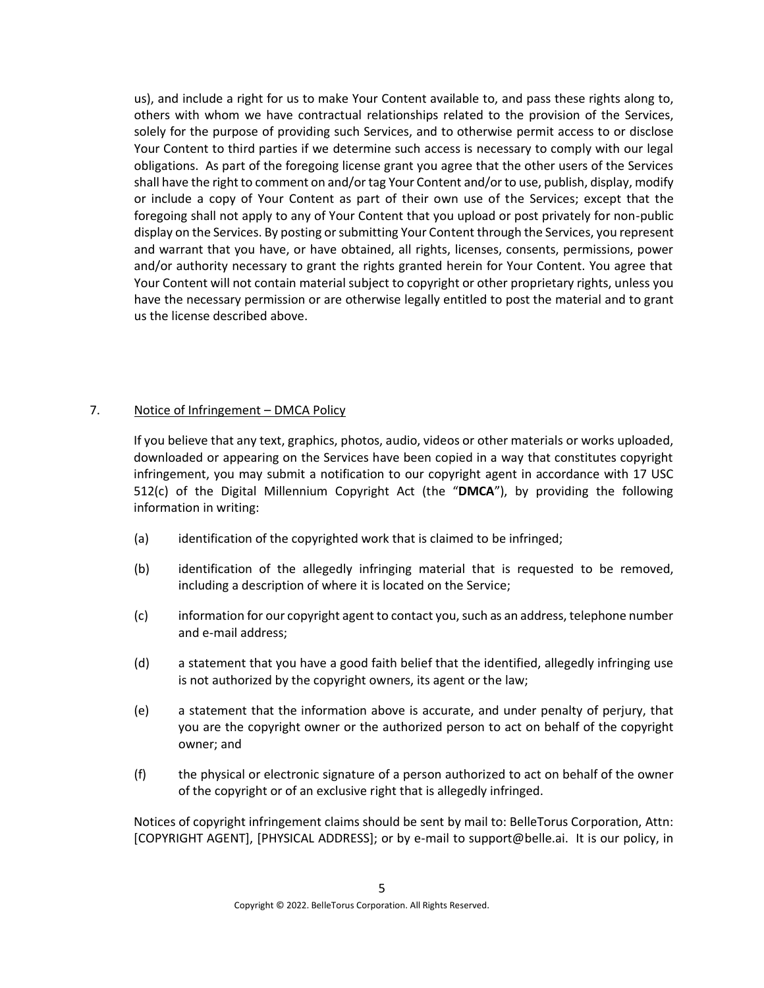us), and include a right for us to make Your Content available to, and pass these rights along to, others with whom we have contractual relationships related to the provision of the Services, solely for the purpose of providing such Services, and to otherwise permit access to or disclose Your Content to third parties if we determine such access is necessary to comply with our legal obligations. As part of the foregoing license grant you agree that the other users of the Services shall have the right to comment on and/or tag Your Content and/or to use, publish, display, modify or include a copy of Your Content as part of their own use of the Services; except that the foregoing shall not apply to any of Your Content that you upload or post privately for non-public display on the Services. By posting or submitting Your Content through the Services, you represent and warrant that you have, or have obtained, all rights, licenses, consents, permissions, power and/or authority necessary to grant the rights granted herein for Your Content. You agree that Your Content will not contain material subject to copyright or other proprietary rights, unless you have the necessary permission or are otherwise legally entitled to post the material and to grant us the license described above.

# 7. Notice of Infringement – DMCA Policy

If you believe that any text, graphics, photos, audio, videos or other materials or works uploaded, downloaded or appearing on the Services have been copied in a way that constitutes copyright infringement, you may submit a notification to our copyright agent in accordance with 17 USC 512(c) of the Digital Millennium Copyright Act (the "**DMCA**"), by providing the following information in writing:

- (a) identification of the copyrighted work that is claimed to be infringed;
- (b) identification of the allegedly infringing material that is requested to be removed, including a description of where it is located on the Service;
- (c) information for our copyright agent to contact you, such as an address, telephone number and e-mail address;
- (d) a statement that you have a good faith belief that the identified, allegedly infringing use is not authorized by the copyright owners, its agent or the law;
- (e) a statement that the information above is accurate, and under penalty of perjury, that you are the copyright owner or the authorized person to act on behalf of the copyright owner; and
- (f) the physical or electronic signature of a person authorized to act on behalf of the owner of the copyright or of an exclusive right that is allegedly infringed.

Notices of copyright infringement claims should be sent by mail to: BelleTorus Corporation, Attn: [COPYRIGHT AGENT], [PHYSICAL ADDRESS]; or by e-mail to support@belle.ai. It is our policy, in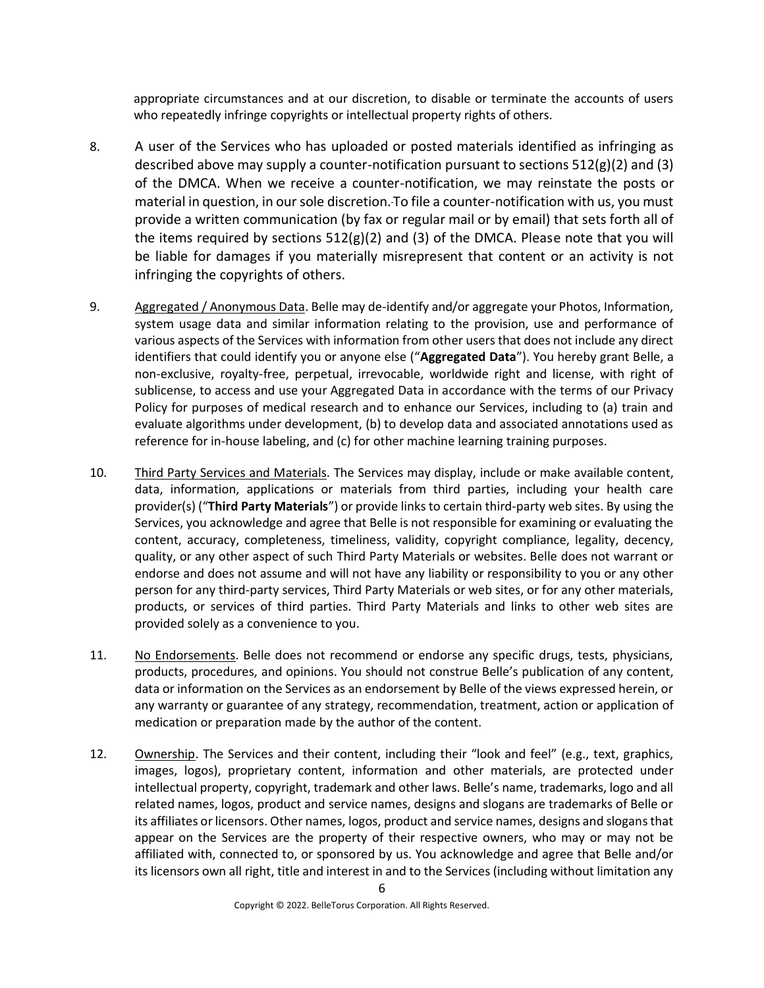appropriate circumstances and at our discretion, to disable or terminate the accounts of users who repeatedly infringe copyrights or intellectual property rights of others.

- 8. A user of the Services who has uploaded or posted materials identified as infringing as described above may supply a counter-notification pursuant to sections  $512(g)(2)$  and (3) of the DMCA. When we receive a counter-notification, we may reinstate the posts or material in question, in our sole discretion. To file a counter-notification with us, you must provide a written communication (by fax or regular mail or by email) that sets forth all of the items required by sections  $512(g)(2)$  and (3) of the DMCA. Please note that you will be liable for damages if you materially misrepresent that content or an activity is not infringing the copyrights of others.
- 9. Aggregated / Anonymous Data. Belle may de-identify and/or aggregate your Photos, Information, system usage data and similar information relating to the provision, use and performance of various aspects of the Services with information from other users that does not include any direct identifiers that could identify you or anyone else ("**Aggregated Data**"). You hereby grant Belle, a non-exclusive, royalty-free, perpetual, irrevocable, worldwide right and license, with right of sublicense, to access and use your Aggregated Data in accordance with the terms of our Privacy Policy for purposes of medical research and to enhance our Services, including to (a) train and evaluate algorithms under development, (b) to develop data and associated annotations used as reference for in-house labeling, and (c) for other machine learning training purposes.
- 10. Third Party Services and Materials. The Services may display, include or make available content, data, information, applications or materials from third parties, including your health care provider(s) ("**Third Party Materials**") or provide links to certain third-party web sites. By using the Services, you acknowledge and agree that Belle is not responsible for examining or evaluating the content, accuracy, completeness, timeliness, validity, copyright compliance, legality, decency, quality, or any other aspect of such Third Party Materials or websites. Belle does not warrant or endorse and does not assume and will not have any liability or responsibility to you or any other person for any third-party services, Third Party Materials or web sites, or for any other materials, products, or services of third parties. Third Party Materials and links to other web sites are provided solely as a convenience to you.
- 11. No Endorsements. Belle does not recommend or endorse any specific drugs, tests, physicians, products, procedures, and opinions. You should not construe Belle's publication of any content, data or information on the Services as an endorsement by Belle of the views expressed herein, or any warranty or guarantee of any strategy, recommendation, treatment, action or application of medication or preparation made by the author of the content.
- 12. Ownership. The Services and their content, including their "look and feel" (e.g., text, graphics, images, logos), proprietary content, information and other materials, are protected under intellectual property, copyright, trademark and other laws. Belle's name, trademarks, logo and all related names, logos, product and service names, designs and slogans are trademarks of Belle or its affiliates or licensors. Other names, logos, product and service names, designs and slogans that appear on the Services are the property of their respective owners, who may or may not be affiliated with, connected to, or sponsored by us. You acknowledge and agree that Belle and/or its licensors own all right, title and interest in and to the Services (including without limitation any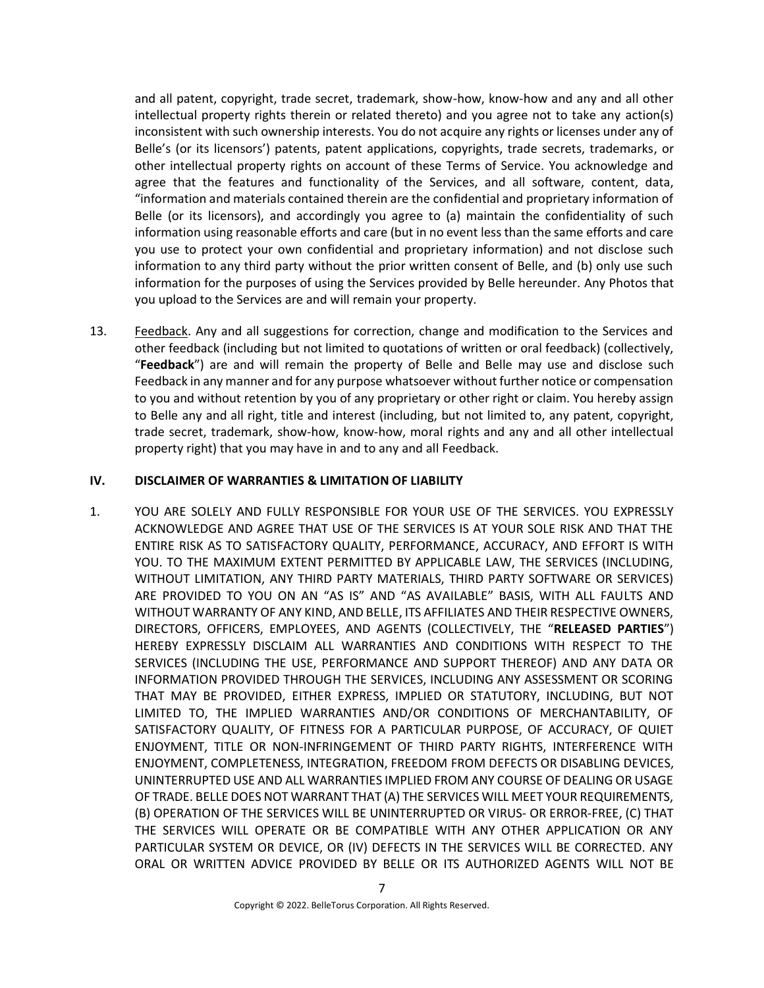and all patent, copyright, trade secret, trademark, show-how, know-how and any and all other intellectual property rights therein or related thereto) and you agree not to take any action(s) inconsistent with such ownership interests. You do not acquire any rights or licenses under any of Belle's (or its licensors') patents, patent applications, copyrights, trade secrets, trademarks, or other intellectual property rights on account of these Terms of Service. You acknowledge and agree that the features and functionality of the Services, and all software, content, data, "information and materials contained therein are the confidential and proprietary information of Belle (or its licensors), and accordingly you agree to (a) maintain the confidentiality of such information using reasonable efforts and care (but in no event less than the same efforts and care you use to protect your own confidential and proprietary information) and not disclose such information to any third party without the prior written consent of Belle, and (b) only use such information for the purposes of using the Services provided by Belle hereunder. Any Photos that you upload to the Services are and will remain your property.

13. Feedback. Any and all suggestions for correction, change and modification to the Services and other feedback (including but not limited to quotations of written or oral feedback) (collectively, "**Feedback**") are and will remain the property of Belle and Belle may use and disclose such Feedback in any manner and for any purpose whatsoever without further notice or compensation to you and without retention by you of any proprietary or other right or claim. You hereby assign to Belle any and all right, title and interest (including, but not limited to, any patent, copyright, trade secret, trademark, show-how, know-how, moral rights and any and all other intellectual property right) that you may have in and to any and all Feedback.

#### <span id="page-6-0"></span>**IV. DISCLAIMER OF WARRANTIES & LIMITATION OF LIABILITY**

1. YOU ARE SOLELY AND FULLY RESPONSIBLE FOR YOUR USE OF THE SERVICES. YOU EXPRESSLY ACKNOWLEDGE AND AGREE THAT USE OF THE SERVICES IS AT YOUR SOLE RISK AND THAT THE ENTIRE RISK AS TO SATISFACTORY QUALITY, PERFORMANCE, ACCURACY, AND EFFORT IS WITH YOU. TO THE MAXIMUM EXTENT PERMITTED BY APPLICABLE LAW, THE SERVICES (INCLUDING, WITHOUT LIMITATION, ANY THIRD PARTY MATERIALS, THIRD PARTY SOFTWARE OR SERVICES) ARE PROVIDED TO YOU ON AN "AS IS" AND "AS AVAILABLE" BASIS, WITH ALL FAULTS AND WITHOUT WARRANTY OF ANY KIND, AND BELLE, ITS AFFILIATES AND THEIR RESPECTIVE OWNERS, DIRECTORS, OFFICERS, EMPLOYEES, AND AGENTS (COLLECTIVELY, THE "**RELEASED PARTIES**") HEREBY EXPRESSLY DISCLAIM ALL WARRANTIES AND CONDITIONS WITH RESPECT TO THE SERVICES (INCLUDING THE USE, PERFORMANCE AND SUPPORT THEREOF) AND ANY DATA OR INFORMATION PROVIDED THROUGH THE SERVICES, INCLUDING ANY ASSESSMENT OR SCORING THAT MAY BE PROVIDED, EITHER EXPRESS, IMPLIED OR STATUTORY, INCLUDING, BUT NOT LIMITED TO, THE IMPLIED WARRANTIES AND/OR CONDITIONS OF MERCHANTABILITY, OF SATISFACTORY QUALITY, OF FITNESS FOR A PARTICULAR PURPOSE, OF ACCURACY, OF QUIET ENJOYMENT, TITLE OR NON-INFRINGEMENT OF THIRD PARTY RIGHTS, INTERFERENCE WITH ENJOYMENT, COMPLETENESS, INTEGRATION, FREEDOM FROM DEFECTS OR DISABLING DEVICES, UNINTERRUPTED USE AND ALL WARRANTIES IMPLIED FROM ANY COURSE OF DEALING OR USAGE OF TRADE. BELLE DOES NOT WARRANT THAT (A) THE SERVICES WILL MEET YOUR REQUIREMENTS, (B) OPERATION OF THE SERVICES WILL BE UNINTERRUPTED OR VIRUS- OR ERROR-FREE, (C) THAT THE SERVICES WILL OPERATE OR BE COMPATIBLE WITH ANY OTHER APPLICATION OR ANY PARTICULAR SYSTEM OR DEVICE, OR (IV) DEFECTS IN THE SERVICES WILL BE CORRECTED. ANY ORAL OR WRITTEN ADVICE PROVIDED BY BELLE OR ITS AUTHORIZED AGENTS WILL NOT BE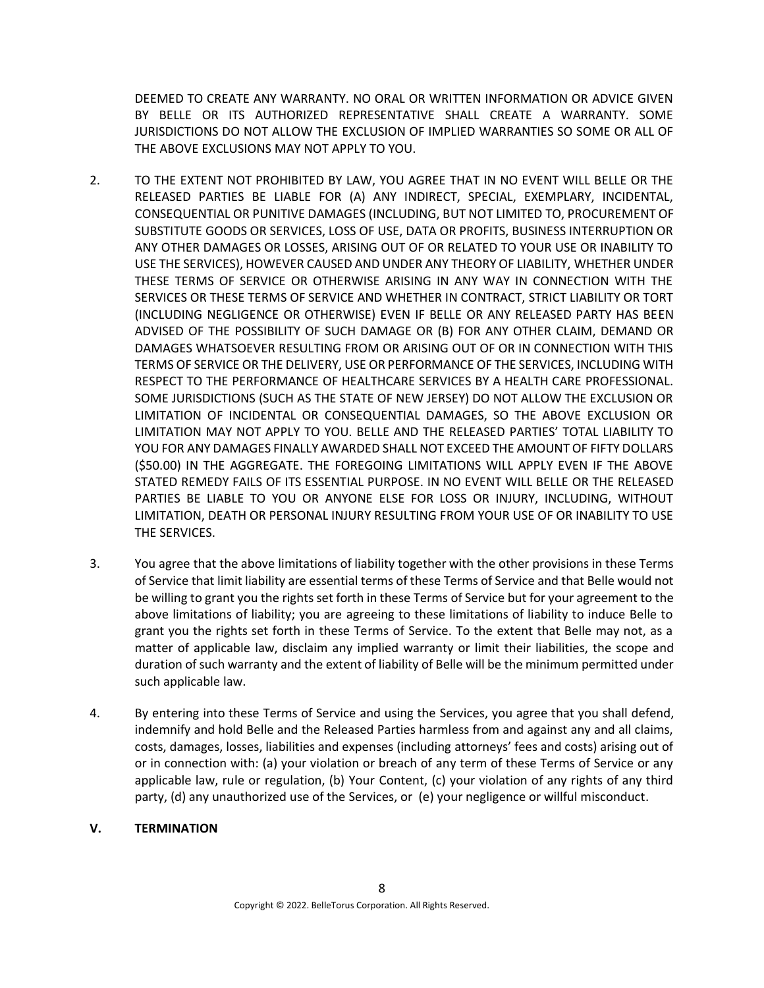DEEMED TO CREATE ANY WARRANTY. NO ORAL OR WRITTEN INFORMATION OR ADVICE GIVEN BY BELLE OR ITS AUTHORIZED REPRESENTATIVE SHALL CREATE A WARRANTY. SOME JURISDICTIONS DO NOT ALLOW THE EXCLUSION OF IMPLIED WARRANTIES SO SOME OR ALL OF THE ABOVE EXCLUSIONS MAY NOT APPLY TO YOU.

- 2. TO THE EXTENT NOT PROHIBITED BY LAW, YOU AGREE THAT IN NO EVENT WILL BELLE OR THE RELEASED PARTIES BE LIABLE FOR (A) ANY INDIRECT, SPECIAL, EXEMPLARY, INCIDENTAL, CONSEQUENTIAL OR PUNITIVE DAMAGES (INCLUDING, BUT NOT LIMITED TO, PROCUREMENT OF SUBSTITUTE GOODS OR SERVICES, LOSS OF USE, DATA OR PROFITS, BUSINESS INTERRUPTION OR ANY OTHER DAMAGES OR LOSSES, ARISING OUT OF OR RELATED TO YOUR USE OR INABILITY TO USE THE SERVICES), HOWEVER CAUSED AND UNDER ANY THEORY OF LIABILITY, WHETHER UNDER THESE TERMS OF SERVICE OR OTHERWISE ARISING IN ANY WAY IN CONNECTION WITH THE SERVICES OR THESE TERMS OF SERVICE AND WHETHER IN CONTRACT, STRICT LIABILITY OR TORT (INCLUDING NEGLIGENCE OR OTHERWISE) EVEN IF BELLE OR ANY RELEASED PARTY HAS BEEN ADVISED OF THE POSSIBILITY OF SUCH DAMAGE OR (B) FOR ANY OTHER CLAIM, DEMAND OR DAMAGES WHATSOEVER RESULTING FROM OR ARISING OUT OF OR IN CONNECTION WITH THIS TERMS OF SERVICE OR THE DELIVERY, USE OR PERFORMANCE OF THE SERVICES, INCLUDING WITH RESPECT TO THE PERFORMANCE OF HEALTHCARE SERVICES BY A HEALTH CARE PROFESSIONAL. SOME JURISDICTIONS (SUCH AS THE STATE OF NEW JERSEY) DO NOT ALLOW THE EXCLUSION OR LIMITATION OF INCIDENTAL OR CONSEQUENTIAL DAMAGES, SO THE ABOVE EXCLUSION OR LIMITATION MAY NOT APPLY TO YOU. BELLE AND THE RELEASED PARTIES' TOTAL LIABILITY TO YOU FOR ANY DAMAGES FINALLY AWARDED SHALL NOT EXCEED THE AMOUNT OF FIFTY DOLLARS (\$50.00) IN THE AGGREGATE. THE FOREGOING LIMITATIONS WILL APPLY EVEN IF THE ABOVE STATED REMEDY FAILS OF ITS ESSENTIAL PURPOSE. IN NO EVENT WILL BELLE OR THE RELEASED PARTIES BE LIABLE TO YOU OR ANYONE ELSE FOR LOSS OR INJURY, INCLUDING, WITHOUT LIMITATION, DEATH OR PERSONAL INJURY RESULTING FROM YOUR USE OF OR INABILITY TO USE THE SERVICES.
- 3. You agree that the above limitations of liability together with the other provisions in these Terms of Service that limit liability are essential terms of these Terms of Service and that Belle would not be willing to grant you the rights set forth in these Terms of Service but for your agreement to the above limitations of liability; you are agreeing to these limitations of liability to induce Belle to grant you the rights set forth in these Terms of Service. To the extent that Belle may not, as a matter of applicable law, disclaim any implied warranty or limit their liabilities, the scope and duration of such warranty and the extent of liability of Belle will be the minimum permitted under such applicable law.
- 4. By entering into these Terms of Service and using the Services, you agree that you shall defend, indemnify and hold Belle and the Released Parties harmless from and against any and all claims, costs, damages, losses, liabilities and expenses (including attorneys' fees and costs) arising out of or in connection with: (a) your violation or breach of any term of these Terms of Service or any applicable law, rule or regulation, (b) Your Content, (c) your violation of any rights of any third party, (d) any unauthorized use of the Services, or (e) your negligence or willful misconduct.

# <span id="page-7-0"></span>**V. TERMINATION**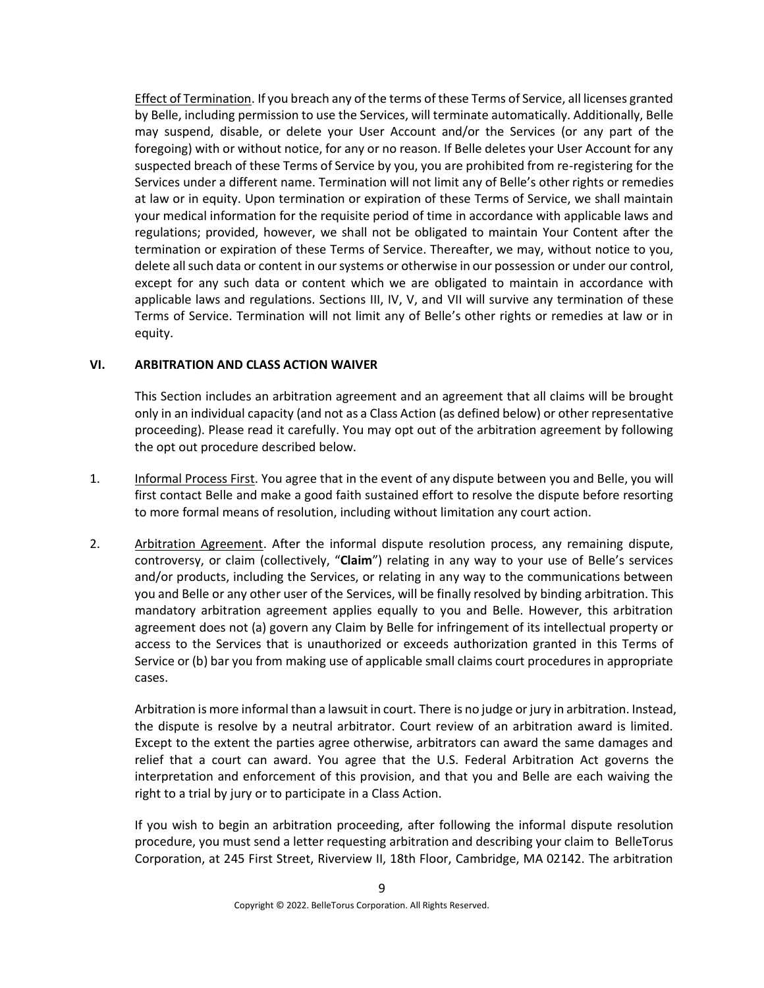Effect of Termination. If you breach any of the terms of these Terms of Service, all licenses granted by Belle, including permission to use the Services, will terminate automatically. Additionally, Belle may suspend, disable, or delete your User Account and/or the Services (or any part of the foregoing) with or without notice, for any or no reason. If Belle deletes your User Account for any suspected breach of these Terms of Service by you, you are prohibited from re-registering for the Services under a different name. Termination will not limit any of Belle's other rights or remedies at law or in equity. Upon termination or expiration of these Terms of Service, we shall maintain your medical information for the requisite period of time in accordance with applicable laws and regulations; provided, however, we shall not be obligated to maintain Your Content after the termination or expiration of these Terms of Service. Thereafter, we may, without notice to you, delete all such data or content in our systems or otherwise in our possession or under our control, except for any such data or content which we are obligated to maintain in accordance with applicable laws and regulations. Sections [III,](#page-2-0) [IV,](#page-6-0) [V,](#page-7-0) and [VII](#page-9-0) will survive any termination of these Terms of Service. Termination will not limit any of Belle's other rights or remedies at law or in equity.

#### <span id="page-8-0"></span>**VI. ARBITRATION AND CLASS ACTION WAIVER**

This Section includes an arbitration agreement and an agreement that all claims will be brought only in an individual capacity (and not as a Class Action (as defined below) or other representative proceeding). Please read it carefully. You may opt out of the arbitration agreement by following the opt out procedure described below.

- 1. Informal Process First. You agree that in the event of any dispute between you and Belle, you will first contact Belle and make a good faith sustained effort to resolve the dispute before resorting to more formal means of resolution, including without limitation any court action.
- 2. Arbitration Agreement. After the informal dispute resolution process, any remaining dispute, controversy, or claim (collectively, "**Claim**") relating in any way to your use of Belle's services and/or products, including the Services, or relating in any way to the communications between you and Belle or any other user of the Services, will be finally resolved by binding arbitration. This mandatory arbitration agreement applies equally to you and Belle. However, this arbitration agreement does not (a) govern any Claim by Belle for infringement of its intellectual property or access to the Services that is unauthorized or exceeds authorization granted in this Terms of Service or (b) bar you from making use of applicable small claims court procedures in appropriate cases.

Arbitration is more informal than a lawsuit in court. There is no judge or jury in arbitration. Instead, the dispute is resolve by a neutral arbitrator. Court review of an arbitration award is limited. Except to the extent the parties agree otherwise, arbitrators can award the same damages and relief that a court can award. You agree that the U.S. Federal Arbitration Act governs the interpretation and enforcement of this provision, and that you and Belle are each waiving the right to a trial by jury or to participate in a Class Action.

If you wish to begin an arbitration proceeding, after following the informal dispute resolution procedure, you must send a letter requesting arbitration and describing your claim to BelleTorus Corporation, at 245 First Street, Riverview II, 18th Floor, Cambridge, MA 02142. The arbitration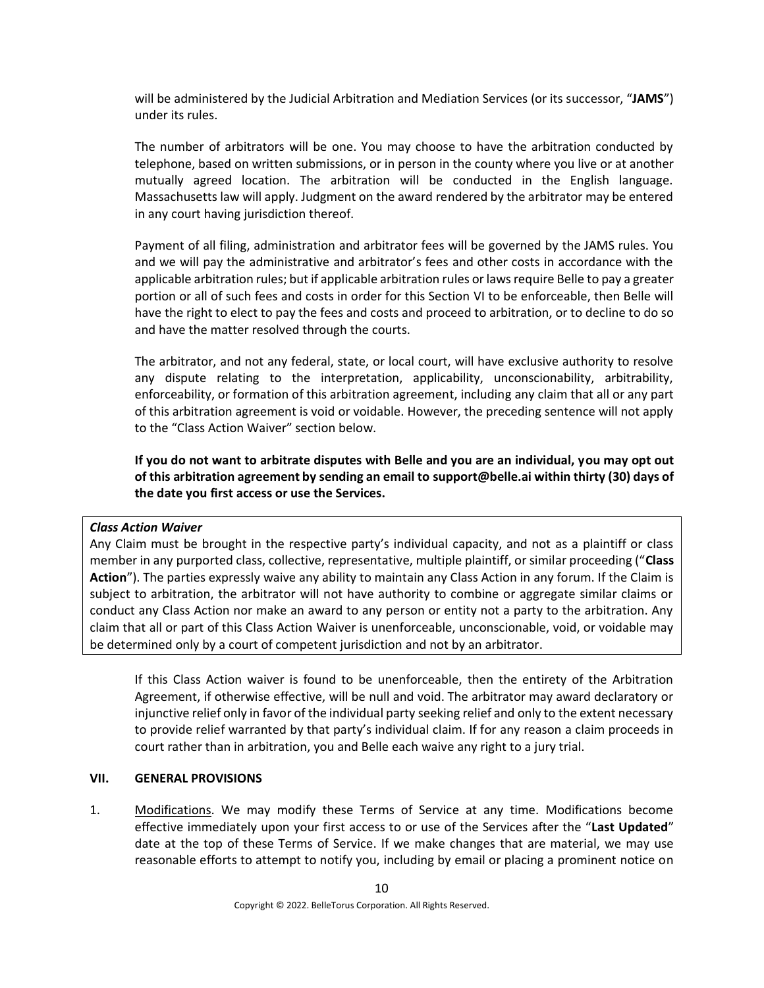will be administered by the Judicial Arbitration and Mediation Services (or its successor, "**JAMS**") under its rules.

The number of arbitrators will be one. You may choose to have the arbitration conducted by telephone, based on written submissions, or in person in the county where you live or at another mutually agreed location. The arbitration will be conducted in the English language. Massachusetts law will apply. Judgment on the award rendered by the arbitrator may be entered in any court having jurisdiction thereof.

Payment of all filing, administration and arbitrator fees will be governed by the JAMS rules. You and we will pay the administrative and arbitrator's fees and other costs in accordance with the applicable arbitration rules; but if applicable arbitration rules or laws require Belle to pay a greater portion or all of such fees and costs in order for this Section [VI](#page-8-0) to be enforceable, then Belle will have the right to elect to pay the fees and costs and proceed to arbitration, or to decline to do so and have the matter resolved through the courts.

The arbitrator, and not any federal, state, or local court, will have exclusive authority to resolve any dispute relating to the interpretation, applicability, unconscionability, arbitrability, enforceability, or formation of this arbitration agreement, including any claim that all or any part of this arbitration agreement is void or voidable. However, the preceding sentence will not apply to the "Class Action Waiver" section below.

**If you do not want to arbitrate disputes with Belle and you are an individual, you may opt out of this arbitration agreement by sending an email to support@belle.ai within thirty (30) days of the date you first access or use the Services.** 

# *Class Action Waiver*

Any Claim must be brought in the respective party's individual capacity, and not as a plaintiff or class member in any purported class, collective, representative, multiple plaintiff, or similar proceeding ("**Class Action**"). The parties expressly waive any ability to maintain any Class Action in any forum. If the Claim is subject to arbitration, the arbitrator will not have authority to combine or aggregate similar claims or conduct any Class Action nor make an award to any person or entity not a party to the arbitration. Any claim that all or part of this Class Action Waiver is unenforceable, unconscionable, void, or voidable may be determined only by a court of competent jurisdiction and not by an arbitrator.

If this Class Action waiver is found to be unenforceable, then the entirety of the Arbitration Agreement, if otherwise effective, will be null and void. The arbitrator may award declaratory or injunctive relief only in favor of the individual party seeking relief and only to the extent necessary to provide relief warranted by that party's individual claim. If for any reason a claim proceeds in court rather than in arbitration, you and Belle each waive any right to a jury trial.

# <span id="page-9-0"></span>**VII. GENERAL PROVISIONS**

1. Modifications. We may modify these Terms of Service at any time. Modifications become effective immediately upon your first access to or use of the Services after the "**Last Updated**" date at the top of these Terms of Service. If we make changes that are material, we may use reasonable efforts to attempt to notify you, including by email or placing a prominent notice on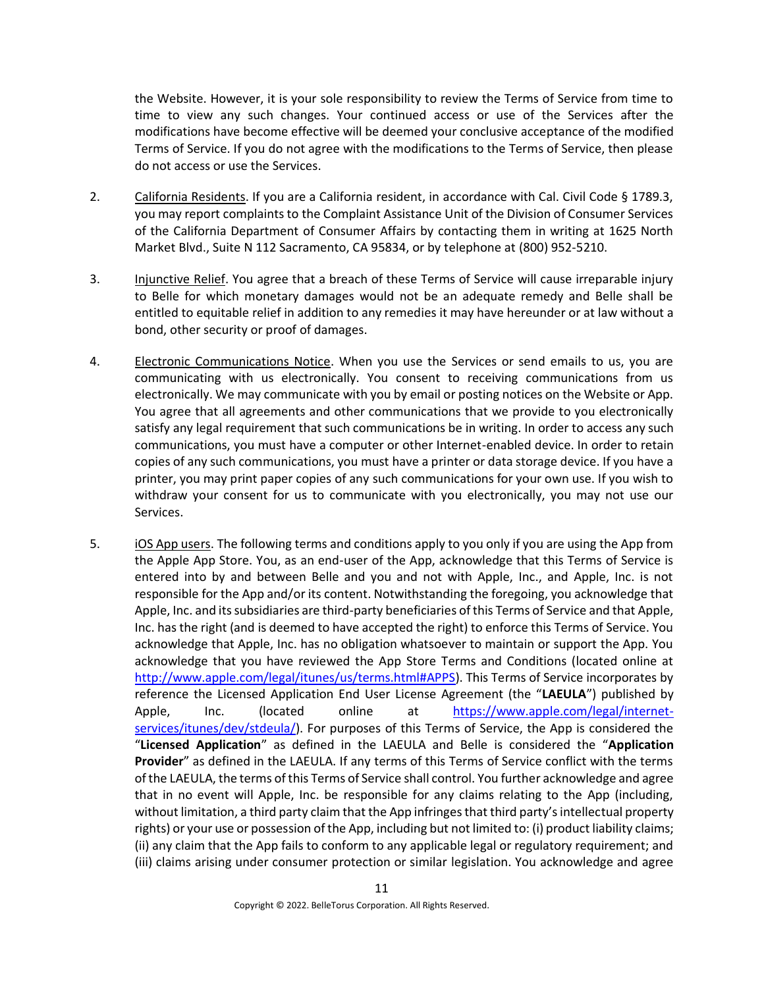the Website. However, it is your sole responsibility to review the Terms of Service from time to time to view any such changes. Your continued access or use of the Services after the modifications have become effective will be deemed your conclusive acceptance of the modified Terms of Service. If you do not agree with the modifications to the Terms of Service, then please do not access or use the Services.

- 2. California Residents. If you are a California resident, in accordance with Cal. Civil Code § 1789.3, you may report complaints to the Complaint Assistance Unit of the Division of Consumer Services of the California Department of Consumer Affairs by contacting them in writing at 1625 North Market Blvd., Suite N 112 Sacramento, CA 95834, or by telephone at (800) 952-5210.
- 3. Injunctive Relief. You agree that a breach of these Terms of Service will cause irreparable injury to Belle for which monetary damages would not be an adequate remedy and Belle shall be entitled to equitable relief in addition to any remedies it may have hereunder or at law without a bond, other security or proof of damages.
- 4. Electronic Communications Notice. When you use the Services or send emails to us, you are communicating with us electronically. You consent to receiving communications from us electronically. We may communicate with you by email or posting notices on the Website or App. You agree that all agreements and other communications that we provide to you electronically satisfy any legal requirement that such communications be in writing. In order to access any such communications, you must have a computer or other Internet-enabled device. In order to retain copies of any such communications, you must have a printer or data storage device. If you have a printer, you may print paper copies of any such communications for your own use. If you wish to withdraw your consent for us to communicate with you electronically, you may not use our Services.
- 5. iOS App users. The following terms and conditions apply to you only if you are using the App from the Apple App Store. You, as an end-user of the App, acknowledge that this Terms of Service is entered into by and between Belle and you and not with Apple, Inc., and Apple, Inc. is not responsible for the App and/or its content. Notwithstanding the foregoing, you acknowledge that Apple, Inc. and its subsidiaries are third-party beneficiaries of this Terms of Service and that Apple, Inc. has the right (and is deemed to have accepted the right) to enforce this Terms of Service. You acknowledge that Apple, Inc. has no obligation whatsoever to maintain or support the App. You acknowledge that you have reviewed the App Store Terms and Conditions (located online at [http://www.apple.com/legal/itunes/us/terms.html#APPS\)](http://www.apple.com/legal/itunes/us/terms.html#APPS). This Terms of Service incorporates by reference the Licensed Application End User License Agreement (the "**LAEULA**") published by Apple, Inc. (located online at [https://www.apple.com/legal/internet](https://www.apple.com/legal/internet-services/itunes/dev/stdeula/)[services/itunes/dev/stdeula/\)](https://www.apple.com/legal/internet-services/itunes/dev/stdeula/). For purposes of this Terms of Service, the App is considered the "**Licensed Application**" as defined in the LAEULA and Belle is considered the "**Application Provider**" as defined in the LAEULA. If any terms of this Terms of Service conflict with the terms of the LAEULA, the terms of this Terms of Service shall control. You further acknowledge and agree that in no event will Apple, Inc. be responsible for any claims relating to the App (including, without limitation, a third party claim that the App infringes that third party's intellectual property rights) or your use or possession of the App, including but not limited to: (i) product liability claims; (ii) any claim that the App fails to conform to any applicable legal or regulatory requirement; and (iii) claims arising under consumer protection or similar legislation. You acknowledge and agree